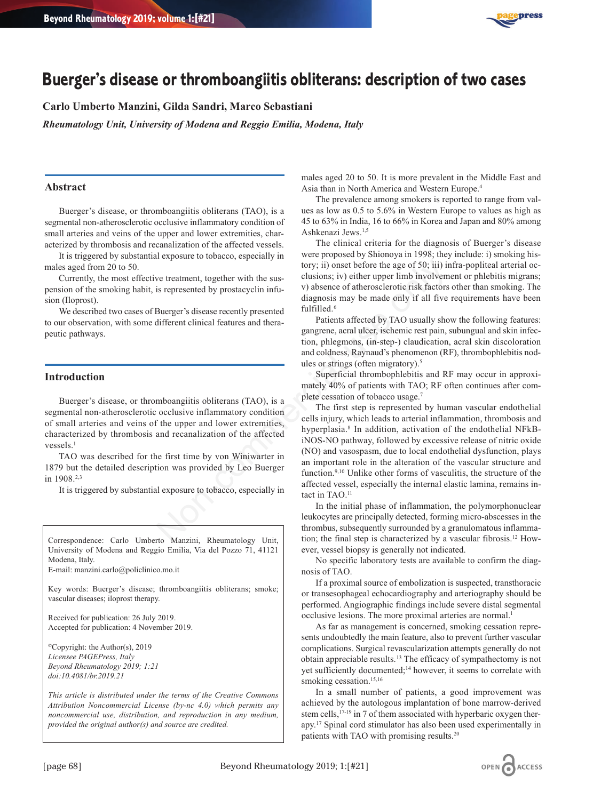

# **Buerger's disease or thromboangiitis obliterans: description of two cases**

**Carlo Umberto Manzini, Gilda Sandri, Marco Sebastiani**

*Rheumatology Unit, University of Modena and Reggio Emilia, Modena, Italy*

## **Abstract**

Buerger's disease, or thromboangiitis obliterans (TAO), is a segmental non-atherosclerotic occlusive inflammatory condition of small arteries and veins of the upper and lower extremities, characterized by thrombosis and recanalization of the affected vessels.

It is triggered by substantial exposure to tobacco, especially in males aged from 20 to 50.

Currently, the most effective treatment, together with the suspension of the smoking habit, is represented by prostacyclin infusion (Iloprost).

We described two cases of Buerger's disease recently presented to our observation, with some different clinical features and therapeutic pathways.

### **Introduction**

Buerger's disease, or thromboangiitis obliterans (TAO), is a segmental non-atherosclerotic occlusive inflammatory condition of small arteries and veins of the upper and lower extremities, characterized by thrombosis and recanalization of the affected vessels.<sup>1</sup>

TAO was described for the first time by von Winiwarter in 1879 but the detailed description was provided by Leo Buerger in 1908.2,3

It is triggered by substantial exposure to tobacco, especially in

Correspondence: Carlo Umberto Manzini, Rheumatology Unit, University of Modena and Reggio Emilia, Via del Pozzo 71, 41121 Modena, Italy.

E-mail: manzini.carlo@policlinico.mo.it

Key words: Buerger's disease; thromboangiitis obliterans; smoke; vascular diseases; iloprost therapy.

Received for publication: 26 July 2019. Accepted for publication: 4 November 2019.

©Copyright: the Author(s), 2019 *Licensee PAGEPress, Italy Beyond Rheumatology 2019; 1:21 doi:10.4081/br.2019.21*

*This article is distributed under the terms of the Creative Commons Attribution Noncommercial License (by-nc 4.0) which permits any noncommercial use, distribution, and reproduction in any medium, provided the original author(s) and source are credited.*

males aged 20 to 50. It is more prevalent in the Middle East and Asia than in North America and Western Europe.4

The prevalence among smokers is reported to range from values as low as 0.5 to 5.6% in Western Europe to values as high as 45 to 63% in India, 16 to 66% in Korea and Japan and 80% among Ashkenazi Jews.1,5

The clinical criteria for the diagnosis of Buerger's disease were proposed by Shionoya in 1998; they include: i) smoking history; ii) onset before the age of 50; iii) infra-popliteal arterial occlusions; iv) either upper limb involvement or phlebitis migrans; v) absence of atherosclerotic risk factors other than smoking. The diagnosis may be made only if all five requirements have been fulfilled.6

Patients affected by TAO usually show the following features: gangrene, acral ulcer, ischemic rest pain, subungual and skin infection, phlegmons, (in-step-) claudication, acral skin discoloration and coldness, Raynaud's phenomenon (RF), thrombophlebitis nodules or strings (often migratory).<sup>5</sup>

Superficial thrombophlebitis and RF may occur in approximately 40% of patients with TAO; RF often continues after complete cessation of tobacco usage.7

The first step is represented by human vascular endothelial cells injury, which leads to arterial inflammation, thrombosis and hyperplasia.<sup>8</sup> In addition, activation of the endothelial NFkBiNOS-NO pathway, followed by excessive release of nitric oxide (NO) and vasospasm, due to local endothelial dysfunction, plays an important role in the alteration of the vascular structure and function.<sup>9,10</sup> Unlike other forms of vasculitis, the structure of the affected vessel, especially the internal elastic lamina, remains intact in TAO.<sup>11</sup> Nonethelia use the such that the sum-<br>
set in the sum-<br>
or the sum-<br>
or the sum-<br>
or the sum-<br>
or the sum-<br>
or the sum-<br>
or the sum-<br>
or the sum-<br>
or the sum-<br>
or the sum-<br>
or the sum-<br>
or the sum-<br>
or the sum-<br>
or the su

In the initial phase of inflammation, the polymorphonuclear leukocytes are principally detected, forming micro-abscesses in the thrombus, subsequently surrounded by a granulomatous inflammation; the final step is characterized by a vascular fibrosis.12 However, vessel biopsy is generally not indicated.

No specific laboratory tests are available to confirm the diagnosis of TAO.

If a proximal source of embolization is suspected, transthoracic or transesophageal echocardiography and arteriography should be performed. Angiographic findings include severe distal segmental occlusive lesions. The more proximal arteries are normal.<sup>1</sup>

As far as management is concerned, smoking cessation represents undoubtedly the main feature, also to prevent further vascular complications. Surgical revascularization attempts generally do not obtain appreciable results.13 The efficacy of sympathectomy is not yet sufficiently documented;<sup>14</sup> however, it seems to correlate with smoking cessation.<sup>15,16</sup>

In a small number of patients, a good improvement was achieved by the autologous implantation of bone marrow-derived stem cells,<sup>17-19</sup> in 7 of them associated with hyperbaric oxygen therapy.17 Spinal cord stimulator has also been used experimentally in patients with TAO with promising results.20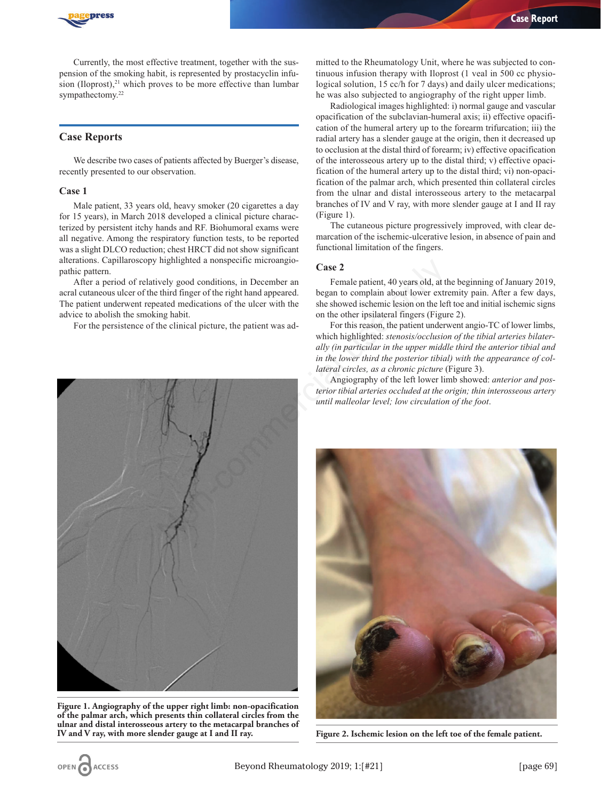

Currently, the most effective treatment, together with the suspension of the smoking habit, is represented by prostacyclin infusion (Iloprost), $21$  which proves to be more effective than lumbar sympathectomy.<sup>22</sup>

# **Case Reports**

We describe two cases of patients affected by Buerger's disease, recently presented to our observation.

#### **Case 1**

Male patient, 33 years old, heavy smoker (20 cigarettes a day for 15 years), in March 2018 developed a clinical picture characterized by persistent itchy hands and RF. Biohumoral exams were all negative. Among the respiratory function tests, to be reported was a slight DLCO reduction; chest HRCT did not show significant alterations. Capillaroscopy highlighted a nonspecific microangiopathic pattern.

After a period of relatively good conditions, in December an acral cutaneous ulcer of the third finger of the right hand appeared. The patient underwent repeated medications of the ulcer with the advice to abolish the smoking habit.

For the persistence of the clinical picture, the patient was ad-

mitted to the Rheumatology Unit, where he was subjected to continuous infusion therapy with Iloprost (1 veal in 500 cc physiological solution, 15 cc/h for 7 days) and daily ulcer medications; he was also subjected to angiography of the right upper limb.

Radiological images highlighted: i) normal gauge and vascular opacification of the subclavian-humeral axis; ii) effective opacification of the humeral artery up to the forearm trifurcation; iii) the radial artery has a slender gauge at the origin, then it decreased up to occlusion at the distal third of forearm; iv) effective opacification of the interosseous artery up to the distal third; v) effective opacification of the humeral artery up to the distal third; vi) non-opacification of the palmar arch, which presented thin collateral circles from the ulnar and distal interosseous artery to the metacarpal branches of IV and V ray, with more slender gauge at I and II ray (Figure 1).

The cutaneous picture progressively improved, with clear demarcation of the ischemic-ulcerative lesion, in absence of pain and functional limitation of the fingers.

## **Case 2**

Female patient, 40 years old, at the beginning of January 2019, began to complain about lower extremity pain. After a few days, she showed ischemic lesion on the left toe and initial ischemic signs on the other ipsilateral fingers (Figure 2).

For this reason, the patient underwent angio-TC of lower limbs, which highlighted: *stenosis/occlusion of the tibial arteries bilaterally (in particular in the upper middle third the anterior tibial and in the lower third the posterior tibial) with the appearance of collateral circles, as a chronic picture* (Figure 3).

Angiography of the left lower limb showed: *anterior and posterior tibial arteries occluded at the origin; thin interosseous artery until malleolar level; low circulation of the foot*.



**Figure 1. Angiography of the upper right limb: non-opacification of the palmar arch, which presents thin collateral circles from the ulnar and distal interosseous artery to the metacarpal branches of IV and V ray, with more slender gauge at I and II ray.**



**Figure 2. Ischemic lesion on the left toe of the female patient.**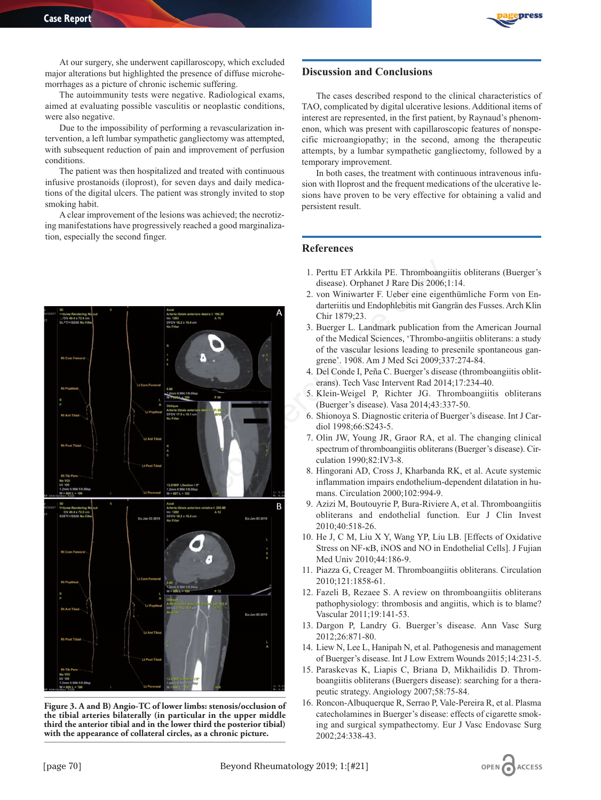

At our surgery, she underwent capillaroscopy, which excluded major alterations but highlighted the presence of diffuse microhemorrhages as a picture of chronic ischemic suffering.

The autoimmunity tests were negative. Radiological exams, aimed at evaluating possible vasculitis or neoplastic conditions, were also negative.

Due to the impossibility of performing a revascularization intervention, a left lumbar sympathetic gangliectomy was attempted, with subsequent reduction of pain and improvement of perfusion conditions.

The patient was then hospitalized and treated with continuous infusive prostanoids (iloprost), for seven days and daily medications of the digital ulcers. The patient was strongly invited to stop smoking habit.

A clear improvement of the lesions was achieved; the necrotizing manifestations have progressively reached a good marginalization, especially the second finger.



**Figure 3. A and B) Angio-TC of lower limbs: stenosis/occlusion of the tibial arteries bilaterally (in particular in the upper middle third the anterior tibial and in the lower third the posterior tibial) with the appearance of collateral circles, as a chronic picture.**

## **Discussion and Conclusions**

The cases described respond to the clinical characteristics of TAO, complicated by digital ulcerative lesions. Additional items of interest are represented, in the first patient, by Raynaud's phenomenon, which was present with capillaroscopic features of nonspecific microangiopathy; in the second, among the therapeutic attempts, by a lumbar sympathetic gangliectomy, followed by a temporary improvement.

In both cases, the treatment with continuous intravenous infusion with Iloprost and the frequent medications of the ulcerative lesions have proven to be very effective for obtaining a valid and persistent result.

## **References**

- 1. Perttu ET Arkkila PE. Thromboangiitis obliterans (Buerger's disease). Orphanet J Rare Dis 2006;1:14.
- 2. von Winiwarter F. Ueber eine eigenthümliche Form von Endarteriitis und Endophlebitis mit Gangrän des Fusses. Arch Klin Chir 1879;23.
- 3. Buerger L. Landmark publication from the American Journal of the Medical Sciences, 'Thrombo-angiitis obliterans: a study of the vascular lesions leading to presenile spontaneous gangrene'. 1908. Am J Med Sci 2009;337:274-84.
- 4. Del Conde I, Peña C. Buerger's disease (thromboangiitis obliterans). Tech Vasc Intervent Rad 2014;17:234-40.
- 5. Klein-Weigel P, Richter JG. Thromboangiitis obliterans (Buerger's disease). Vasa 2014;43:337-50.
- 6. Shionoya S. Diagnostic criteria of Buerger's disease. Int J Cardiol 1998;66:S243-5.
- 7. Olin JW, Young JR, Graor RA, et al. The changing clinical spectrum of thromboangiitis obliterans (Buerger's disease). Circulation 1990;82:IV3-8.
- 8. Hingorani AD, Cross J, Kharbanda RK, et al. Acute systemic inflammation impairs endothelium-dependent dilatation in humans. Circulation 2000;102:994-9.
- 9. Azizi M, Boutouyrie P, Bura-Riviere A, et al. Thromboangiitis obliterans and endothelial function. Eur J Clin Invest 2010;40:518-26.
- 10. He J, C M, Liu X Y, Wang YP, Liu LB. [Effects of Oxidative Stress on NF-κB, iNOS and NO in Endothelial Cells]. J Fujian Med Univ 2010;44:186-9.
- 11. Piazza G, Creager M. Thromboangiitis obliterans. Circulation 2010;121:1858-61.
- 12. Fazeli B, Rezaee S. A review on thromboangiitis obliterans pathophysiology: thrombosis and angiitis, which is to blame? Vascular 2011;19:141-53.
- 13. Dargon P, Landry G. Buerger's disease. Ann Vasc Surg 2012;26:871-80.
- 14. Liew N, Lee L, Hanipah N, et al. Pathogenesis and management of Buerger's disease. Int J Low Extrem Wounds 2015;14:231-5.
- 15. Paraskevas K, Liapis C, Briana D, Mikhailidis D. Thromboangiitis obliterans (Buergers disease): searching for a therapeutic strategy. Angiology 2007;58:75-84.
- 16. Roncon-Albuquerque R, Serrao P, Vale-Pereira R, et al. Plasma catecholamines in Buerger's disease: effects of cigarette smoking and surgical sympathectomy. Eur J Vasc Endovasc Surg 2002;24:338-43.